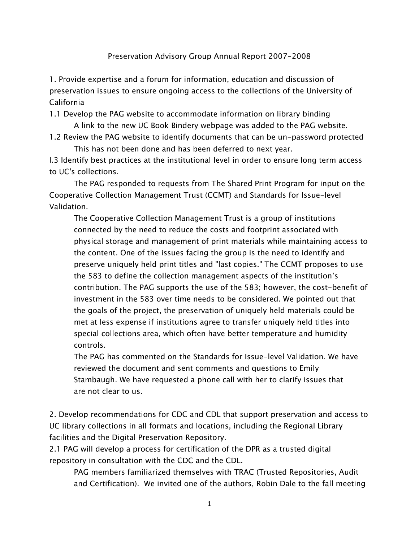## Preservation Advisory Group Annual Report 2007-2008

1. Provide expertise and a forum for information, education and discussion of preservation issues to ensure ongoing access to the collections of the University of California

1.1 Develop the PAG website to accommodate information on library binding

 A link to the new UC Book Bindery webpage was added to the PAG website. 1.2 Review the PAG website to identify documents that can be un-password protected

This has not been done and has been deferred to next year.

I.3 Identify best practices at the institutional level in order to ensure long term access to UC's collections.

 The PAG responded to requests from The Shared Print Program for input on the Cooperative Collection Management Trust (CCMT) and Standards for Issue-level Validation.

 The Cooperative Collection Management Trust is a group of institutions connected by the need to reduce the costs and footprint associated with physical storage and management of print materials while maintaining access to the content. One of the issues facing the group is the need to identify and preserve uniquely held print titles and "last copies." The CCMT proposes to use the 583 to define the collection management aspects of the institution's contribution. The PAG supports the use of the 583; however, the cost-benefit of investment in the 583 over time needs to be considered. We pointed out that the goals of the project, the preservation of uniquely held materials could be met at less expense if institutions agree to transfer uniquely held titles into special collections area, which often have better temperature and humidity controls.

 The PAG has commented on the Standards for Issue-level Validation. We have reviewed the document and sent comments and questions to Emily Stambaugh. We have requested a phone call with her to clarify issues that are not clear to us.

2. Develop recommendations for CDC and CDL that support preservation and access to UC library collections in all formats and locations, including the Regional Library facilities and the Digital Preservation Repository.

2.1 PAG will develop a process for certification of the DPR as a trusted digital repository in consultation with the CDC and the CDL.

 PAG members familiarized themselves with TRAC (Trusted Repositories, Audit and Certification). We invited one of the authors, Robin Dale to the fall meeting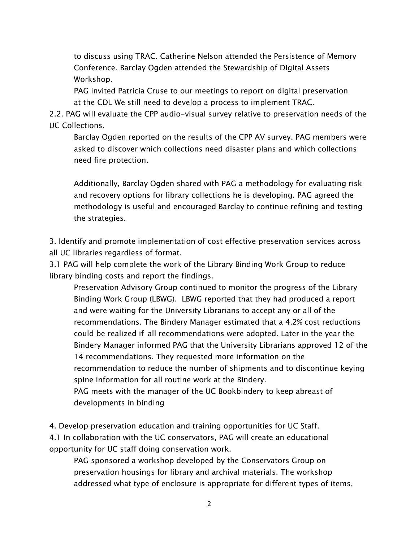to discuss using TRAC. Catherine Nelson attended the Persistence of Memory Conference. Barclay Ogden attended the Stewardship of Digital Assets Workshop.

 PAG invited Patricia Cruse to our meetings to report on digital preservation at the CDL We still need to develop a process to implement TRAC.

2.2. PAG will evaluate the CPP audio-visual survey relative to preservation needs of the UC Collections.

 Barclay Ogden reported on the results of the CPP AV survey. PAG members were asked to discover which collections need disaster plans and which collections need fire protection.

 Additionally, Barclay Ogden shared with PAG a methodology for evaluating risk and recovery options for library collections he is developing. PAG agreed the methodology is useful and encouraged Barclay to continue refining and testing the strategies.

3. Identify and promote implementation of cost effective preservation services across all UC libraries regardless of format.

3.1 PAG will help complete the work of the Library Binding Work Group to reduce library binding costs and report the findings.

 Preservation Advisory Group continued to monitor the progress of the Library Binding Work Group (LBWG). LBWG reported that they had produced a report and were waiting for the University Librarians to accept any or all of the recommendations. The Bindery Manager estimated that a 4.2% cost reductions could be realized if all recommendations were adopted. Later in the year the Bindery Manager informed PAG that the University Librarians approved 12 of the 14 recommendations. They requested more information on the recommendation to reduce the number of shipments and to discontinue keying spine information for all routine work at the Bindery. PAG meets with the manager of the UC Bookbindery to keep abreast of developments in binding

4. Develop preservation education and training opportunities for UC Staff. 4.1 In collaboration with the UC conservators, PAG will create an educational opportunity for UC staff doing conservation work.

 PAG sponsored a workshop developed by the Conservators Group on preservation housings for library and archival materials. The workshop addressed what type of enclosure is appropriate for different types of items,